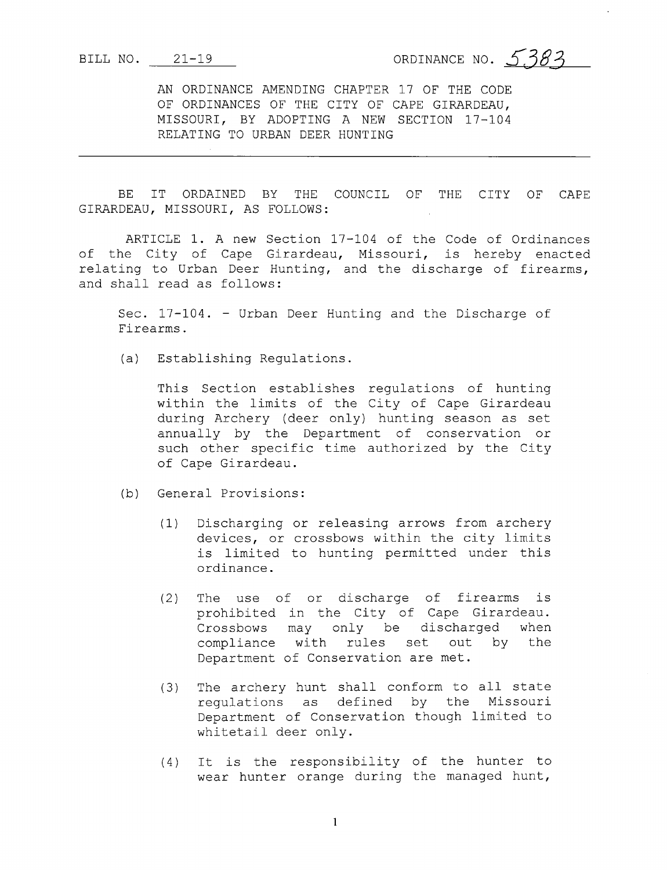BILL NO.  $21-19$  ORDINANCE NO. 5.383

AN ORDINANCE AMENDING CHAPTER 17 OF THE CODE OF ORDINANCES OF THE CITY OF CAPE GIRARDEAU, MISSOURI, BY ADOPTING A NEW SECTION 17-104 RELATING TO URBAN DEER HUNTING

BE IT ORDAINED BY THE COUNCIL OF THE CITY OF CAPE GIRARDEAU, MISSOURI, AS FOLLOWS :

ARTICLE 1. A new Section 17-104 of the Code of Ordinances of the City of Cape Girardeau, Missouri, is hereby enacted relating to Urban Deer Hunting, and the discharge of firearms, and shall read as follows:

Sec. 17-104. - Urban Deer Hunting and the Discharge of Firearms .

a) Establishing Regulations .

This Section establishes regulations of hunting within the limits of the City of Cape Girardeau during Archery (deer only) hunting season as set annually by the Department of conservation or such other specific time authorized by the City of Cape Girardeau.

- (b) General Provisions:
	- 1) Discharging or releasing arrows from archery devices, or crossbows within the city limits is limited to hunting permitted under this ordinance.
	- 2) The use of or discharge of firearms is prohibited in the City of Cape Girardeau. Crossbows may only be discharged when compliance with rules set out by the Department of Conservation are met.
	- 3) The archery hunt shall conform to all state regulations as defined by the Missouri Department of Conservation though limited to whitetail deer only.
	- 4) It is the responsibility of the hunter to wear hunter orange during the managed hunt,

1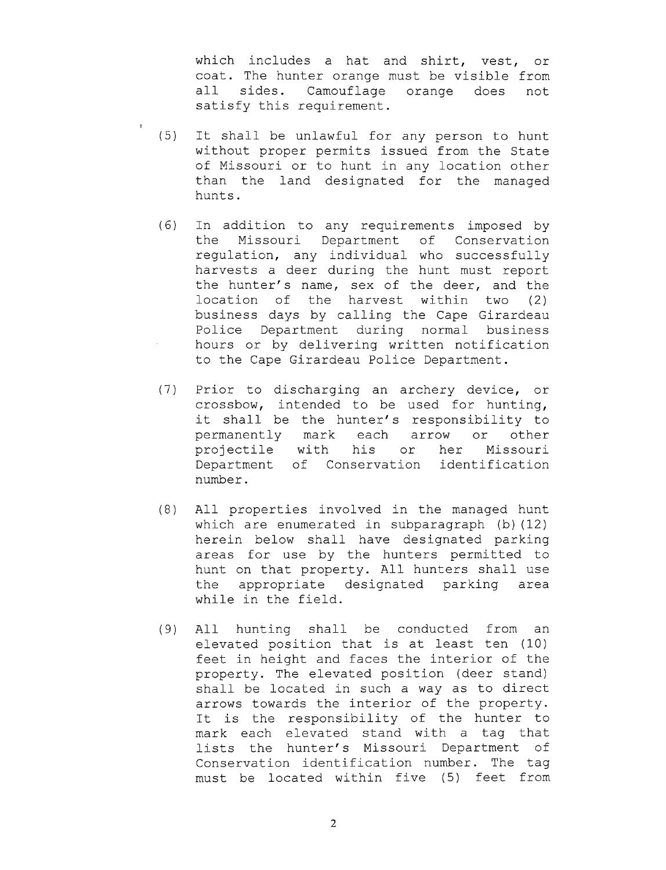which includes <sup>a</sup> hat and shirt, vest, or coat. The hunter orange must be visible from all sides. Camouflage orange does not satisfy this requirement.

- 5) It shall be unlawful for any person to hunt without proper permits issued from the State of Missouri or to hunt in any location other than the land designated for the managed hunts .
- 6) In addition to any requirements imposed by the Missouri Department of Conservation regulation, any individual who successfully harvests <sup>a</sup> deer during the hunt must report the hunter's name, sex of the deer, and the location of the harvest within two (2) business days by calling the Cape Girardeau Police Department during normal business hours or by delivering written notification to the Cape Girardeau Police Department .
- 7) Prior to discharging an archery device, or crossbow, intended to be used for hunting, crossbow, intended to be used for hunting,<br>it shall be the hunter's responsibility to permanently mark each arrow or other projectile with his or her Missouri Department of Conservation identification number.
- 8 ) All properties involved in the managed hunt which are enumerated in subparagraph  $(b)$  (12) herein below shall have designated parking areas for use by the hunters permitted to hunt on that property. All hunters shall use the appropriate designated parking area while in the field.
- 9) All hunting shall be conducted from an elevated position that is at least ten (10) feet in height and faces the interior of the property. The elevated position (deer stand) shall be located in such <sup>a</sup> way as to direct arrows towards the interior of the property. It is the responsibility of the hunter to mark each elevated stand with <sup>a</sup> tag that lists the hunter's Missouri Department of Conservation identification number. The tag must be located within five (5) feet from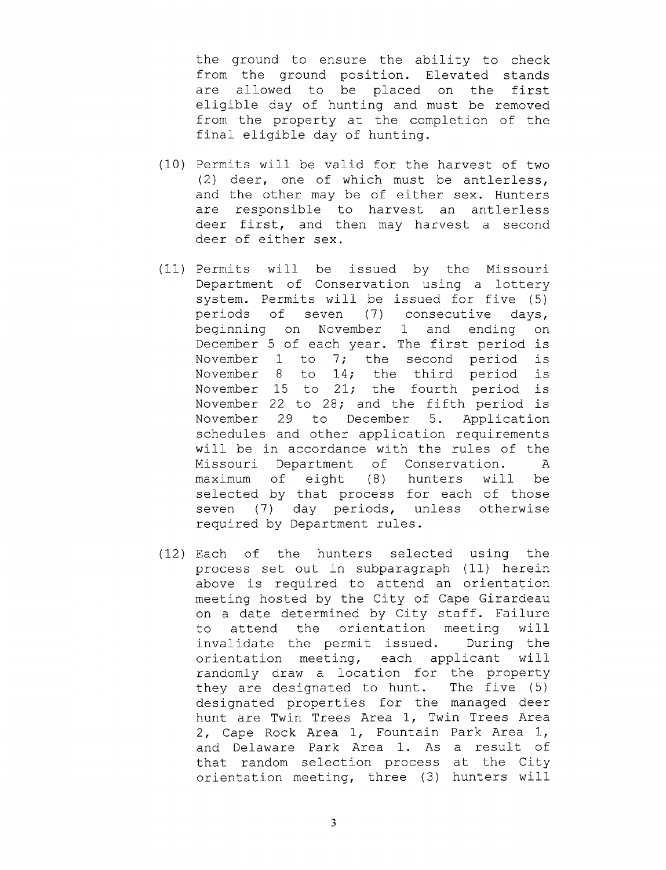the ground to ensure the ability to check from the ground position. Elevated stands are allowed to be placed on the first eligible day of hunting and must be removed from the property at the completion of the final eligible day of hunting.

- 10) Permits will be valid for the harvest of two 2) deer, one of which must be antlerless, and the other may be of either sex. Hunters are responsible to harvest an antlerless deer first, and then may harvest <sup>a</sup> second deer of either sex.
- 11) Permits will be issued by the Missouri Department of Conservation using <sup>a</sup> lottery system. Permits will be issued for five (5) periods of seven (7) consecutive days, beginning on November <sup>1</sup> and ending on December <sup>5</sup> of each year. The first period is November <sup>1</sup> to 7; the second period is November <sup>8</sup> to 14; the third period is November <sup>15</sup> to 21; the fourth period is November <sup>22</sup> to 28; and the fifth period is November 29 to December 5. Application schedules and other application requirements will be in accordance with the rules of the Missouri Department of Conservation. <sup>A</sup> maximum of eight (8) hunters will be selected by that process for each of those seven (7) day periods, unless otherwise required by Department rules .
- 12) Each of the hunters selected using the process set out in subparagraph (11) herein above is required to attend an orientation meeting hosted by the City of Cape Girardeau on <sup>a</sup> date determined by City staff. Failure to attend the orientation meeting will invalidate the permit issued. During the orientation meeting, each applicant will randomly draw <sup>a</sup> location for the property they are designated to hunt. The five (5) designated properties for the managed deer hunt are Twin Trees Area 1, Twin Trees Area 2, Cape Rock Area 1, Fountain Park Area 1, and Delaware Park Area 1. As a result of that random selection process at the City orientation meeting, three (3) hunters will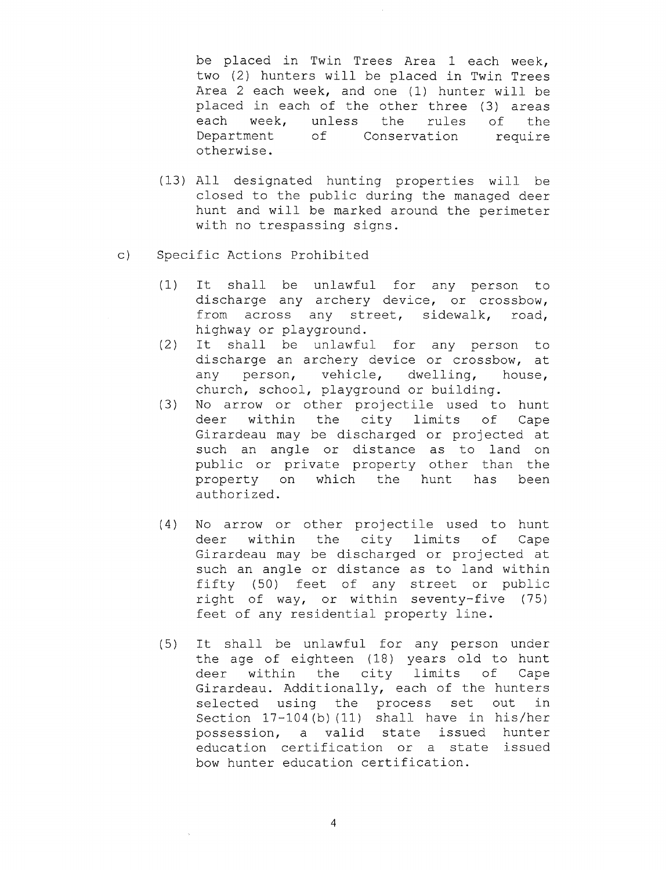be placed in Twin Trees Area <sup>1</sup> each week, two (2) hunters will be placed in Twin Trees Area 2 each week, and one (1) hunter will be placed in each of the other three (3) areas each week, unless the rules of the Department of Conservation require otherwise.

- 13) All designated hunting properties will be closed to the public during the managed deer hunt and will be marked around the perimeter with no trespassing signs.
- c) Specific Actions Prohibited
	- 1) It shall be unlawful for any person to discharge any archery device, or crossbow, from across any street, sidewalk, road, highway or playground.
	- 2) It shall be unlawful for any person to discharge an archery device or crossbow, at<br>any person, vehicle, dwelling, house, any person, vehicle, dwelling, church, school, playground or building.
	- 3) No arrow or other projectile used to hunt deer within the city limits of Cape Girardeau may be discharged or projected at such an angle or distance as to land on public or private property other than the<br>property on which the hunt has been property on which the hunt has authorized.
	- 4) No arrow or other projectile used to hunt deer within the city limits of Cape Girardeau may be discharged or projected at such an angle or distance as to land within fifty (50) feet of any street or public right of way, or within seventy-five (75) feet of any residential property line.
	- 5) It shall be unlawful for any person under the age of eighteen (18) years old to hunt deer within the city limits of Cape Girardeau. Additionally, each of the hunters<br>selected using the process set out in selected using the process set out Section  $17-104$  (b) (11) shall have in his/her possession, a valid state issued hunter education certification or <sup>a</sup> state issued bow hunter education certification.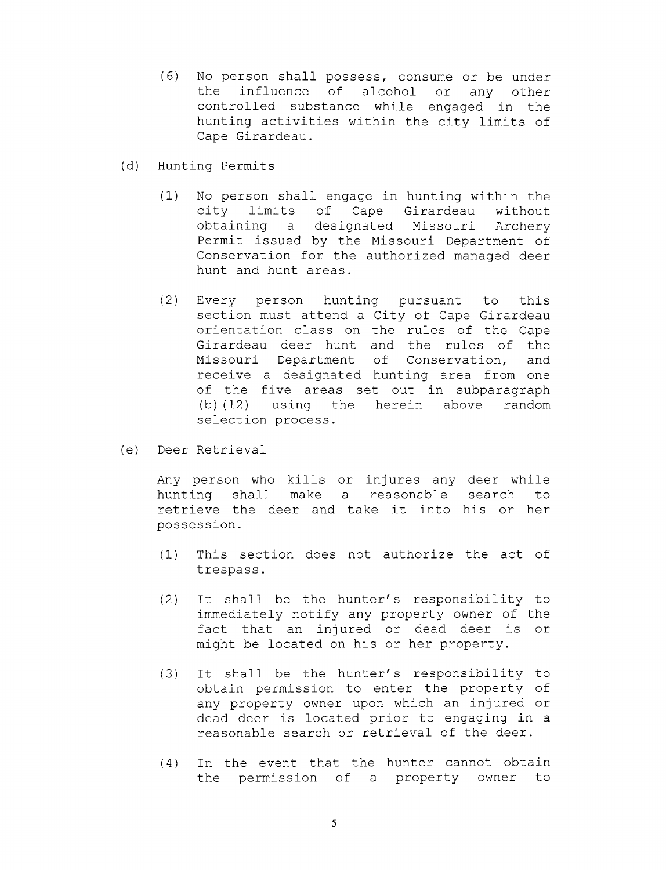- 6) No person shall possess, consume or be under the influence of alcohol or any other controlled substance while engaged in the hunting activities within the city limits of Cape Girardeau.
- d) Hunting Permits
	- 1) No person shall engage in hunting within the limits of Cape Girardeau without<br>ing a designated Missouri Archery obtaining a designated Missouri Permit issued by the Missouri Department of Conservation for the authorized managed deer hunt and hunt areas .
	- 2) Every person hunting pursuant to this section must attend <sup>a</sup> City of Cape Girardeau orientation class on the rules of the Cape Girardeau deer hunt and the rules of the Missouri Department of Conservation, and receive <sup>a</sup> designated hunting area from one of the five areas set out in subparagraph b) ( 12) using the herein above random selection process.
- e) Deer Retrieval

Any person who kills or injures any deer while hunting shall make <sup>a</sup> reasonable search to retrieve the deer and take it into his or her possession.

- 1) This section does not authorize the act of trespass .
- 2) It shall be the hunter's responsibility to immediately notify any property owner of the fact that an injured or dead deer is or might be located on his or her property.
- (3) It shall be the hunter's responsibility to obtain permission to enter the property of any property owner upon which an injured or dead deer is located prior to engaging in <sup>a</sup> reasonable search or retrieval of the deer.
- 4 ) In the event that the hunter cannot obtain the permission of <sup>a</sup> property owner to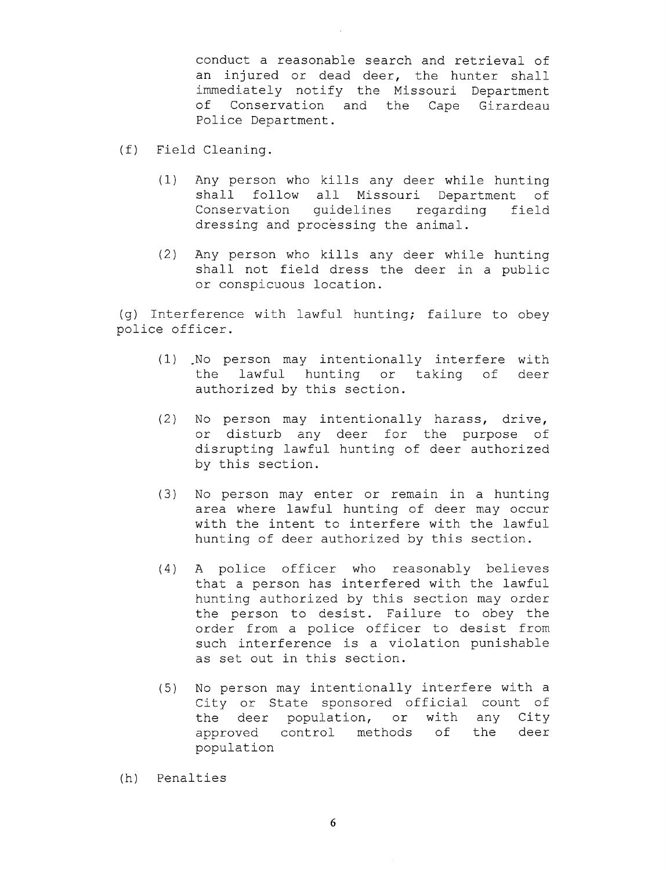conduct <sup>a</sup> reasonable search and retrieval of an injured or dead deer, the hunter shall immediately notify the Missouri Department of Conservation and the Cape Girardeau Police Department.

- f) Field Cleaning.
	- 1) Any person who kills any deer while hunting shall follow all Missouri Department Conservation guidelines regarding field dressing and processing the animal.
	- 2) Any person who kills any deer while hunting shall not field dress the deer in <sup>a</sup> public or conspicuous location.

g) Interference with lawful hunting; failure to obey police officer.

- (1) No person may intentionally interfere with<br>the lawful hunting or taking of deer hunting or taking of authorized by this section.
- 2) No person may intentionally harass, drive, or disturb any deer for the purpose of disrupting lawful hunting of deer authorized by this section.
- 3) No person may enter or remain in <sup>a</sup> hunting area where lawful hunting of deer may occur with the intent to interfere with the lawful hunting of deer authorized by this section.
- 4) <sup>A</sup> police officer who reasonably believes that <sup>a</sup> person has interfered with the lawful hunting authorized by this section may order the person to desist. Failure to obey the order from <sup>a</sup> police officer to desist from such interference is <sup>a</sup> violation punishable as set out in this section.
- 5) No person may intentionally interfere with <sup>a</sup> City or State sponsored official count of<br>the deer population, or with any City deer population, or with any City approved control methods of the deer population
- h) Penalties